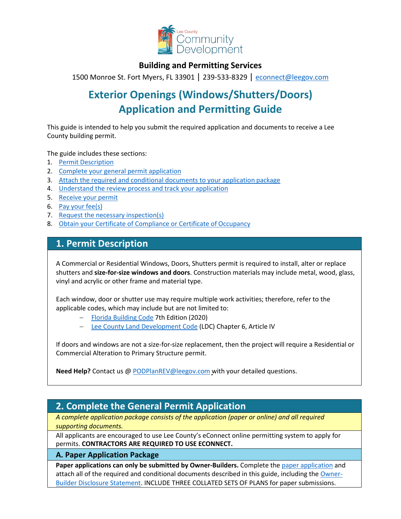

## **Building and Permitting Services**

1500 Monroe St. Fort Myers, FL 33901 | 239-533-8329 | [econnect@leegov.com](mailto:econnect@leegov.com)

# **Exterior Openings (Windows/Shutters/Doors) Application and Permitting Guide**

This guide is intended to help you submit the required application and documents to receive a Lee County building permit.

The guide includes these sections:

- 1. Permit [Description](#page-0-0)
- 2. [Complete your general permit](#page-0-1) application
- 3. [Attach the required and conditional documents to your application](#page-3-0) package
- 4. [Understand the review process and track your](#page-5-0) application
- 5. [Receive your](#page-6-0) permit
- 6. [Pay your](#page-6-1) fee(s)
- 7. [Request the necessary](#page-7-0) inspection(s)
- 8. [Obtain your Certificate of Compliance or Certificate of](#page-7-1) Occupancy

## <span id="page-0-0"></span>**1. Permit Description**

A Commercial or Residential Windows, Doors, Shutters permit is required to install, alter or replace shutters and **size-for-size windows and doors**. Construction materials may include metal, wood, glass, vinyl and acrylic or other frame and material type.

Each window, door or shutter use may require multiple work activities; therefore, refer to the applicable codes, which may include but are not limited to:

- − [Florida Building Code](https://codes.iccsafe.org/codes/florida) 7th Edition (2020)
- [Lee County Land Development Code](https://library.municode.com/fl/lee_county/codes/land_development_code?nodeId=LADECOLECOFL) (LDC) Chapter 6, Article IV

If doors and windows are not a size-for-size replacement, then the project will require a Residential or Commercial Alteration to Primary Structure permit.

**Need Help?** Contact us @ [PODPlanREV@leegov.com](mailto:PODPlanREV@leegov.com) with your detailed questions.

## <span id="page-0-1"></span>**2. Complete the General Permit Application**

*A complete application package consists of the application (paper or online) and all required supporting documents.*

All applicants are encouraged to use Lee County's eConnect online permitting system to apply for permits. **CONTRACTORS ARE REQUIRED TO USE ECONNECT.**

### **A. Paper Application Package**

Paper applications can only be submitted by Owner-Builders. Complete the [paper application](https://www.leegov.com/dcd/PermittingDocs/ExteriorOpeningsApp.pdf) and attach all of the required and conditional documents described in this guide, including the [Owner-](https://www.leegov.com/dcd/PermittingDocs/OwnerBldrDisclosure.pdf)[Builder Disclosure Statement.](https://www.leegov.com/dcd/PermittingDocs/OwnerBldrDisclosure.pdf) INCLUDE THREE COLLATED SETS OF PLANS for paper submissions.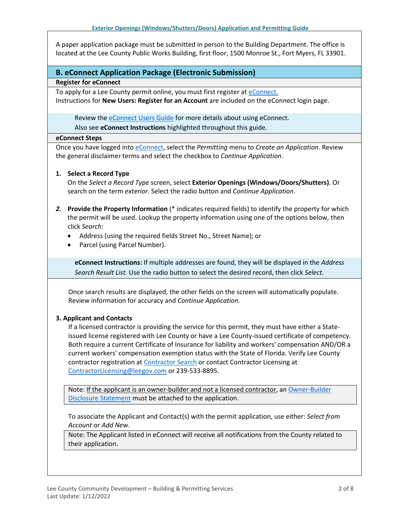A paper application package must be submitted in person to the Building Department. The office is located at the Lee County Public Works Building, first floor, 1500 Monroe St., Fort Myers, FL 33901.

### **B. eConnect Application Package (Electronic Submission)**

#### **Register for eConnect**

To apply for a Lee County permit online, you must first register at *eConnect*. Instructions for **New Users: Register for an Account** are included on the eConnect login page.

Review the [eConnect Users Guide](https://www.leegov.com/dcd/Documents/eServ/eConnect/eServicesGuide.pdf) for more details about using eConnect.

Also see **eConnect Instructions** highlighted throughout this guide.

#### **eConnect Steps**

Once you have logged int[o eConnect, s](https://accelaaca.leegov.com/aca/)elect the *Permitting* menu to *Create an Application*. Review the general disclaimer terms and select the checkbox to *Continue Application*.

### **1. Select a Record Type**

On the *Select a Record Type* screen, select **Exterior Openings (Windows/Doors/Shutters)**. Or search on the term *exterior*. Select the radio button and *Continue Application*.

- *2.* **Provide the Property Information** (\* indicates required fields) to identify the property for which the permit will be used. Lookup the property information using one of the options below, then click *Search:*
	- Address (using the required fields Street No., Street Name); or
	- Parcel (using Parcel Number).

**eConnect Instructions:** If multiple addresses are found, they will be displayed in the *Address Search Result List.* Use the radio button to select the desired record, then click *Select.*

Once search results are displayed, the other fields on the screen will automatically populate. Review information for accuracy and *Continue Application.*

### **3. Applicant and Contacts**

If a licensed contractor is providing the service for this permit, they must have either a Stateissued license registered with Lee County or have a Lee County-issued certificate of competency. Both require a current Certificate of Insurance for liability and workers' compensation AND/OR a current workers' compensation exemption status with the State of Florida. Verify Lee County contractor registration a[t Contractor Search](https://www.leegov.com/dcd/ContLic/ActCont) or contact Contractor Licensing at [ContractorLicensing@leegov.com](mailto:ContractorLicensing@leegov.com) or 239-533-8895.

Note: If the applicant is an owner-builder and not a licensed contractor, a[n Owner-Builder](https://www.leegov.com/dcd/PermittingDocs/OwnerBldrDisclosure.pdf) [Disclosure Statement](https://www.leegov.com/dcd/PermittingDocs/OwnerBldrDisclosure.pdf) must be attached to the application.

To associate the Applicant and Contact(s) with the permit application, use either: *Select from Account* or *Add New*.

Note: The Applicant listed in eConnect will receive all notifications from the County related to their application.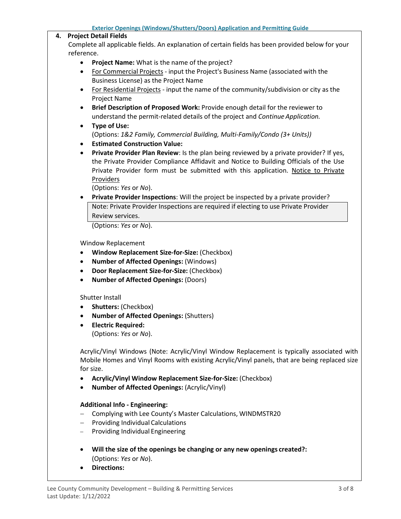#### **4. Project Detail Fields**

Complete all applicable fields. An explanation of certain fields has been provided below for your reference.

- **Project Name:** What is the name of the project?
- For Commercial Projects input the Project's Business Name (associated with the Business License) as the Project Name
- For Residential Projects input the name of the community/subdivision or city as the Project Name
- **Brief Description of Proposed Work:** Provide enough detail for the reviewer to understand the permit-related details of the project and *Continue Application.*
- **Type of Use:** (Options: *1&2 Family, Commercial Building, Multi-Family/Condo (3+ Units))*
- **Estimated Construction Value:**
- **Private Provider Plan Review**: Is the plan being reviewed by a private provider? If yes, the Private Provider Compliance Affidavit and Notice to Building Officials of the Use Private Provider form must be submitted with this application. [Notice to Private](https://www.floridabuilding.org/fbc/committees/Private_Providers/Private_Providers.htm) [Providers](https://www.floridabuilding.org/fbc/committees/Private_Providers/Private_Providers.htm)

(Options: *Yes* or *No*).

• **Private Provider Inspections**: Will the project be inspected by a private provider? Note: Private Provider Inspections are required if electing to use Private Provider Review services.

(Options: *Yes* or *No*).

Window Replacement

- **Window Replacement Size-for-Size:** (Checkbox)
- **Number of Affected Openings:** (Windows)
- **Door Replacement Size-for-Size:** (Checkbox)
- **Number of Affected Openings:** (Doors)

Shutter Install

- **Shutters:** (Checkbox)
- **Number of Affected Openings:** (Shutters)
- **Electric Required:** (Options: *Yes* or *No*).

Acrylic/Vinyl Windows (Note: Acrylic/Vinyl Window Replacement is typically associated with Mobile Homes and Vinyl Rooms with existing Acrylic/Vinyl panels, that are being replaced size for size.

- **Acrylic/Vinyl Window Replacement Size-for-Size:** (Checkbox)
- **Number of Affected Openings:** (Acrylic/Vinyl)

### **Additional Info - Engineering:**

- − Complying with Lee County's Master Calculations, WINDMSTR20
- − Providing Individual Calculations
- − Providing Individual Engineering
- **Will the size of the openings be changing or any new openings created?:** (Options: *Yes* or *No*).
- **Directions:**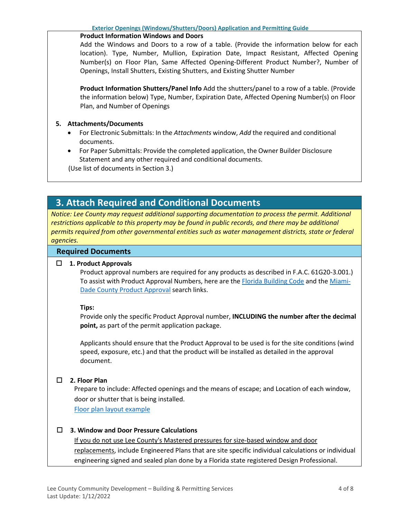### **Product Information Windows and Doors**

Add the Windows and Doors to a row of a table. (Provide the information below for each location). Type, Number, Mullion, Expiration Date, Impact Resistant, Affected Opening Number(s) on Floor Plan, Same Affected Opening-Different Product Number?, Number of Openings, Install Shutters, Existing Shutters, and Existing Shutter Number

**Product Information Shutters/Panel Info** Add the shutters/panel to a row of a table. (Provide the information below) Type, Number, Expiration Date, Affected Opening Number(s) on Floor Plan, and Number of Openings

### **5. Attachments/Documents**

- For Electronic Submittals: In the *Attachments* window, *Add* the required and conditional documents.
- For Paper Submittals: Provide the completed application, the Owner Builder Disclosure Statement and any other required and conditional documents.

(Use list of documents in Section 3.)

## <span id="page-3-0"></span>**3. Attach Required and Conditional Documents**

*Notice: Lee County may request additional supporting documentation to process the permit. Additional restrictions applicable to this property may be found in public records, and there may be additional permits required from other governmental entities such as water management districts, state or federal agencies.*

### **Required Documents**

### **1. Product Approvals**

Product approval numbers are required for any products as described in F.A.C. 61G20-3.001.) To assist with Product Approval Numbers, here are th[e Florida Building Code](https://floridabuilding.org/pr/pr_default.aspx) and th[e Miami-](http://www.miamidade.gov/building/pc-search_app.asp)[Dade County Product Approval](http://www.miamidade.gov/building/pc-search_app.asp) search links.

### **Tips:**

Provide only the specific Product Approval number, **INCLUDING the number after the decimal point,** as part of the permit application package.

Applicants should ensure that the Product Approval to be used is for the site conditions (wind speed, exposure, etc.) and that the product will be installed as detailed in the approval document.

### **2. Floor Plan**

Prepare to include: Affected openings and the means of escape; and Location of each window, door or shutter that is being installed.

[Floor plan layout example](https://www.leegov.com/dcd/PermittingDocs/Floor%20Plan%20Layout-%20Example.pdf)

### **3. Window and Door Pressure Calculations**

If you do not use Lee County's Mastered pressures for size-based window and door replacements, include Engineered Plans that are site specific individual calculations or individual engineering signed and sealed plan done by a Florida state registered Design Professional.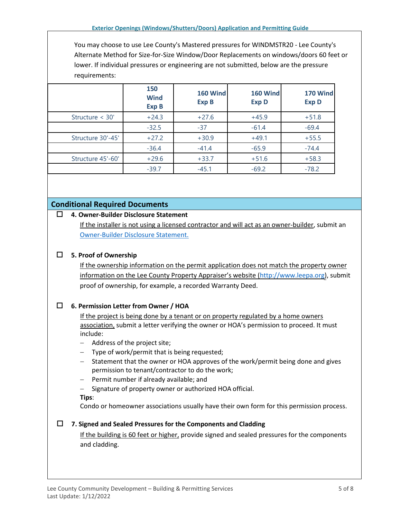You may choose to use Lee County's Mastered pressures for WINDMSTR20 - Lee County's Alternate Method for Size-for-Size Window/Door Replacements on windows/doors 60 feet or lower. If individual pressures or engineering are not submitted, below are the pressure requirements:

|                   | 150<br><b>Wind</b><br><b>Exp B</b> | 160 Wind<br><b>Exp B</b> | 160 Wind<br><b>Exp D</b> | 170 Wind<br><b>Exp D</b> |
|-------------------|------------------------------------|--------------------------|--------------------------|--------------------------|
| Structure < 30'   | $+24.3$                            | $+27.6$                  | $+45.9$                  | $+51.8$                  |
|                   | $-32.5$                            | $-37$                    | $-61.4$                  | $-69.4$                  |
| Structure 30'-45' | $+27.2$                            | $+30.9$                  | $+49.1$                  | $+55.5$                  |
|                   | $-36.4$                            | $-41.4$                  | $-65.9$                  | $-74.4$                  |
| Structure 45'-60' | $+29.6$                            | $+33.7$                  | $+51.6$                  | $+58.3$                  |
|                   | $-39.7$                            | $-45.1$                  | $-69.2$                  | $-78.2$                  |

### **Conditional Required Documents**

### **4. Owner-Builder Disclosure Statement**

If the installer is not using a licensed contractor and will act as an owner-builder, submit an [Owner-Builder Disclosure Statement.](https://www.leegov.com/dcd/PermittingDocs/OwnerBldrDisclosure.pdf)

### **5. Proof of Ownership**

If the ownership information on the permit application does not match the property owner information on the Lee County Property Appraiser's website [\(http://www.leepa.org\)](http://www.leepa.org/), submit proof of ownership, for example, a recorded Warranty Deed.

### **6. Permission Letter from Owner / HOA**

If the project is being done by a tenant or on property regulated by a home owners association, submit a letter verifying the owner or HOA's permission to proceed. It must include:

- − Address of the project site;
- − Type of work/permit that is being requested;
- − Statement that the owner or HOA approves of the work/permit being done and gives permission to tenant/contractor to do the work;
- − Permit number if already available; and
- − Signature of property owner or authorized HOA official.
- **Tips**:

Condo or homeowner associations usually have their own form for this permission process.

### **7. Signed and Sealed Pressures for the Components and Cladding**

If the building is 60 feet or higher, provide signed and sealed pressures for the components and cladding.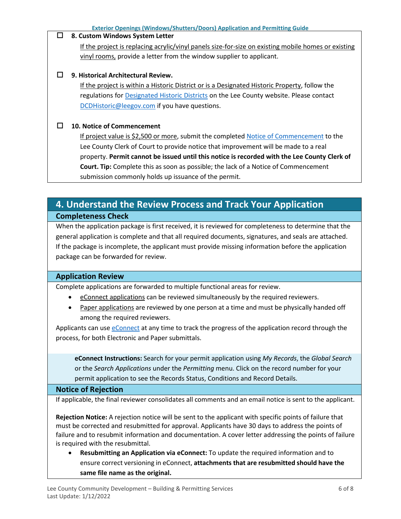### **8. Custom Windows System Letter**

If the project is replacing acrylic/vinyl panels size-for-size on existing mobile homes or existing vinyl rooms, provide a letter from the window supplier to applicant.

### **9. Historical Architectural Review.**

If the project is within a Historic District or is a Designated Historic Property, follow the regulations for [Designated Historic Districts](https://www.leegov.com/dcd/planning/hp/histdistricts) on the Lee County website. Please contact [DCDHistoric@leegov.com](mailto:DCDHistoric@leegov.com) if you have questions.

### **10. Notice of Commencement**

If project value is \$2,500 or more, submit the complete[d Notice of Commencement](https://www.leegov.com/dcd/PermittingDocs/NoticeofCommencement.pdf) to the Lee County Clerk of Court to provide notice that improvement will be made to a real property. **Permit cannot be issued until this notice is recorded with the Lee County Clerk of Court. Tip:** Complete this as soon as possible; the lack of a Notice of Commencement submission commonly holds up issuance of the permit.

## <span id="page-5-0"></span>**4. Understand the Review Process and Track Your Application Completeness Check**

When the application package is first received, it is reviewed for completeness to determine that the general application is complete and that all required documents, signatures, and seals are attached. If the package is incomplete, the applicant must provide missing information before the application package can be forwarded for review.

### **Application Review**

Complete applications are forwarded to multiple functional areas for review.

- eConnect applications can be reviewed simultaneously by the required reviewers.
- Paper applications are reviewed by one person at a time and must be physically handed off among the required reviewers.

Applicants can us[e eConnect](https://accelaaca.leegov.com/aca/) at any time to track the progress of the application record through the process, for both Electronic and Paper submittals.

**eConnect Instructions:** Search for your permit application using *My Records*, the *Global Search* or the *Search Applications* under the *Permitting* menu. Click on the record number for your permit application to see the Records Status, Conditions and Record Details.

### **Notice of Rejection**

If applicable, the final reviewer consolidates all comments and an email notice is sent to the applicant.

**Rejection Notice:** A rejection notice will be sent to the applicant with specific points of failure that must be corrected and resubmitted for approval. Applicants have 30 days to address the points of failure and to resubmit information and documentation. A cover letter addressing the points of failure is required with the resubmittal.

• **Resubmitting an Application via eConnect:** To update the required information and to ensure correct versioning in eConnect, **attachments that are resubmitted should have the same file name as the original.**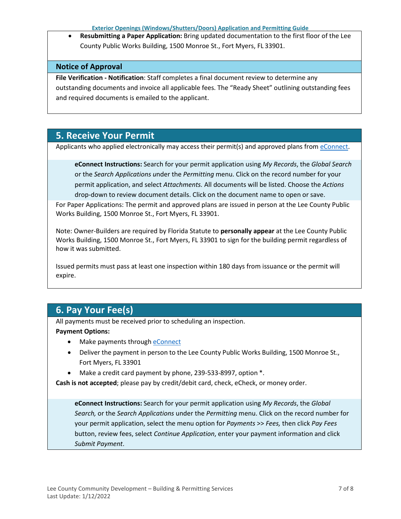**Exterior Openings (Windows/Shutters/Doors) Application and Permitting Guide**

• **Resubmitting a Paper Application:** Bring updated documentation to the first floor of the Lee County Public Works Building, 1500 Monroe St., Fort Myers, FL 33901.

### **Notice of Approval**

**File Verification - Notification**: Staff completes a final document review to determine any outstanding documents and invoice all applicable fees. The "Ready Sheet" outlining outstanding fees and required documents is emailed to the applicant.

## <span id="page-6-0"></span>**5. Receive Your Permit**

Applicants who applied electronically may access their permit(s) and approved plans from [eConnect.](https://accelaaca.leegov.com/aca/)

**eConnect Instructions:** Search for your permit application using *My Records*, the *Global Search*  or the *Search Applications u*nder the *Permitting* menu. Click on the record number for your permit application, and select *Attachments.* All documents will be listed. Choose the *Actions* drop-down to review document details. Click on the document name to open or save.

For Paper Applications: The permit and approved plans are issued in person at the Lee County Public Works Building, 1500 Monroe St., Fort Myers, FL 33901.

Note: Owner-Builders are required by Florida Statute to **personally appear** at the Lee County Public Works Building, 1500 Monroe St., Fort Myers, FL 33901 to sign for the building permit regardless of how it was submitted.

Issued permits must pass at least one inspection within 180 days from issuance or the permit will expire.

## <span id="page-6-1"></span>**6. Pay Your Fee(s)**

All payments must be received prior to scheduling an inspection.

### **Payment Options:**

- Make payments through [eConnect](https://accelaaca.leegov.com/aca/)
- Deliver the payment in person to the Lee County Public Works Building, 1500 Monroe St., Fort Myers, FL 33901
- Make a credit card payment by phone, 239-533-8997, option  $*$ .

**Cash is not accepted**; please pay by credit/debit card, check, eCheck, or money order.

**eConnect Instructions:** Search for your permit application using *My Records*, the *Global Search,* or the *Search Applications* under the *Permitting* menu. Click on the record number for your permit application, select the menu option for *Payments* >> *Fees,* then click *Pay Fees*  button, review fees, select *Continue Application*, enter your payment information and click *Submit Payment*.